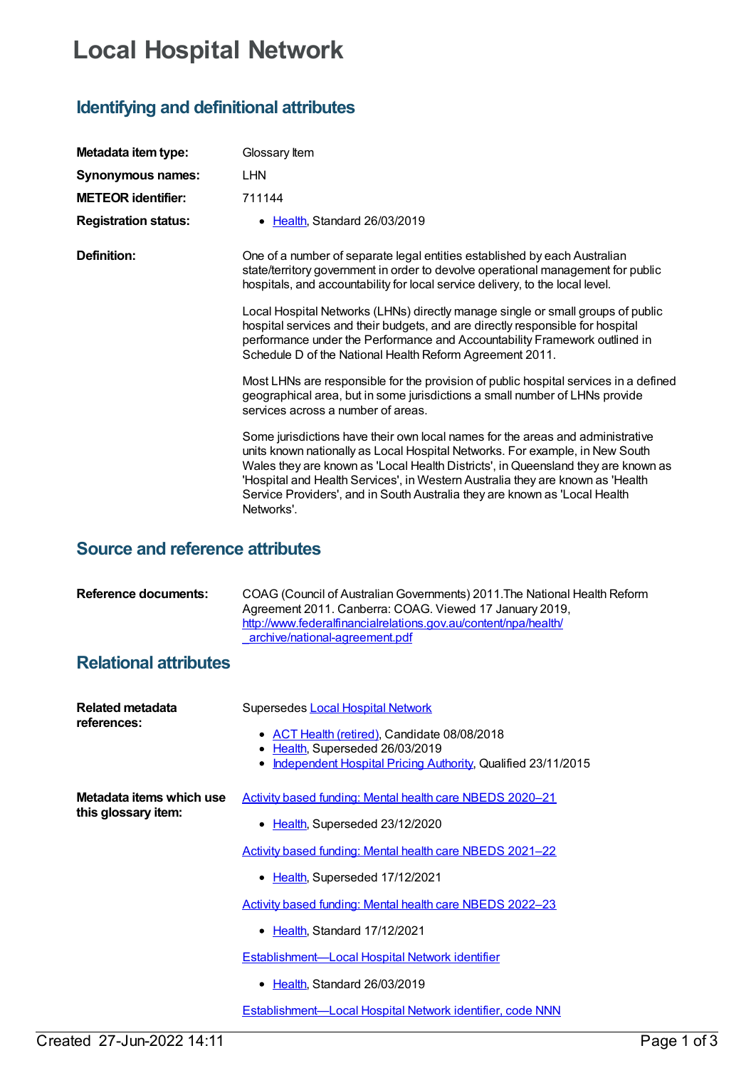## **Local Hospital Network**

## **Identifying and definitional attributes**

| Metadata item type:         | Glossary Item                                                                                                                                                                                                                                                                                                                                                                                                                     |
|-----------------------------|-----------------------------------------------------------------------------------------------------------------------------------------------------------------------------------------------------------------------------------------------------------------------------------------------------------------------------------------------------------------------------------------------------------------------------------|
| Synonymous names:           | <b>LHN</b>                                                                                                                                                                                                                                                                                                                                                                                                                        |
| <b>METEOR identifier:</b>   | 711144                                                                                                                                                                                                                                                                                                                                                                                                                            |
| <b>Registration status:</b> | Health, Standard 26/03/2019                                                                                                                                                                                                                                                                                                                                                                                                       |
| Definition:                 | One of a number of separate legal entities established by each Australian<br>state/territory government in order to devolve operational management for public<br>hospitals, and accountability for local service delivery, to the local level.                                                                                                                                                                                    |
|                             | Local Hospital Networks (LHNs) directly manage single or small groups of public<br>hospital services and their budgets, and are directly responsible for hospital<br>performance under the Performance and Accountability Framework outlined in<br>Schedule D of the National Health Reform Agreement 2011.                                                                                                                       |
|                             | Most LHNs are responsible for the provision of public hospital services in a defined<br>geographical area, but in some jurisdictions a small number of LHNs provide<br>services across a number of areas.                                                                                                                                                                                                                         |
|                             | Some jurisdictions have their own local names for the areas and administrative<br>units known nationally as Local Hospital Networks. For example, in New South<br>Wales they are known as 'Local Health Districts', in Queensland they are known as<br>'Hospital and Health Services', in Western Australia they are known as 'Health<br>Service Providers', and in South Australia they are known as 'Local Health<br>Networks'. |

## **Source and reference attributes**

| <b>Reference documents:</b> | COAG (Council of Australian Governments) 2011. The National Health Reform<br>Agreement 2011. Canberra: COAG. Viewed 17 January 2019.<br>http://www.federalfinancialrelations.gov.au/content/npa/health/<br>archive/national-agreement.pdf |
|-----------------------------|-------------------------------------------------------------------------------------------------------------------------------------------------------------------------------------------------------------------------------------------|
|                             |                                                                                                                                                                                                                                           |

## **Relational attributes**

| Related metadata<br>references:                 | Supersedes Local Hospital Network                                                  |
|-------------------------------------------------|------------------------------------------------------------------------------------|
|                                                 | • ACT Health (retired), Candidate 08/08/2018<br>Health, Superseded 26/03/2019<br>٠ |
|                                                 | Independent Hospital Pricing Authority, Qualified 23/11/2015                       |
| Metadata items which use<br>this glossary item: | Activity based funding: Mental health care NBEDS 2020-21                           |
|                                                 | ● Health, Superseded 23/12/2020                                                    |
|                                                 | Activity based funding: Mental health care NBEDS 2021-22                           |
|                                                 | • Health, Superseded 17/12/2021                                                    |
|                                                 | Activity based funding: Mental health care NBEDS 2022-23                           |
|                                                 | • Health, Standard 17/12/2021                                                      |
|                                                 | <b>Establishment-Local Hospital Network identifier</b>                             |
|                                                 | • Health, Standard 26/03/2019                                                      |
|                                                 | Establishment-Local Hospital Network identifier, code NNN                          |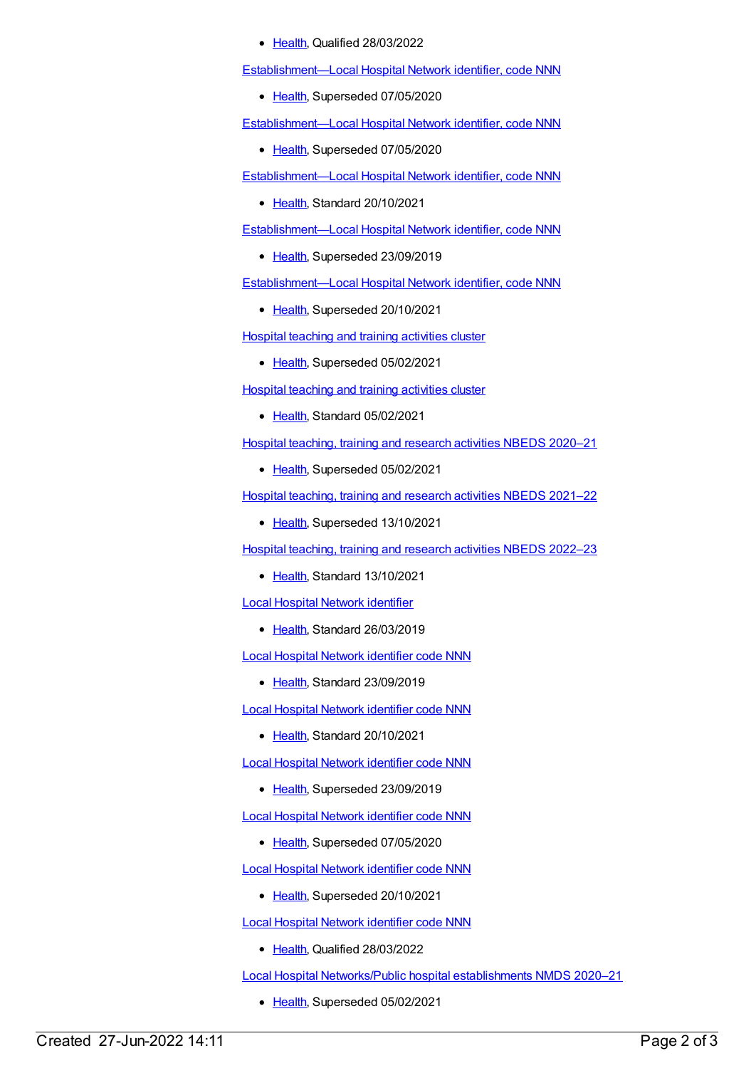• [Health](https://meteor.aihw.gov.au/RegistrationAuthority/12), Qualified 28/03/2022

[Establishment—Local](https://meteor.aihw.gov.au/content/719447) Hospital Network identifier, code NNN

• [Health](https://meteor.aihw.gov.au/RegistrationAuthority/12), Superseded 07/05/2020

[Establishment—Local](https://meteor.aihw.gov.au/content/727024) Hospital Network identifier, code NNN

• [Health](https://meteor.aihw.gov.au/RegistrationAuthority/12), Superseded 07/05/2020

[Establishment—Local](https://meteor.aihw.gov.au/content/747936) Hospital Network identifier, code NNN

• [Health](https://meteor.aihw.gov.au/RegistrationAuthority/12), Standard 20/10/2021

[Establishment—Local](https://meteor.aihw.gov.au/content/709966) Hospital Network identifier, code NNN

• [Health](https://meteor.aihw.gov.au/RegistrationAuthority/12), Superseded 23/09/2019

[Establishment—Local](https://meteor.aihw.gov.au/content/727029) Hospital Network identifier, code NNN

• [Health](https://meteor.aihw.gov.au/RegistrationAuthority/12), Superseded 20/10/2021

Hospital teaching and training [activities](https://meteor.aihw.gov.au/content/721585) cluster

• [Health](https://meteor.aihw.gov.au/RegistrationAuthority/12), Superseded 05/02/2021

Hospital teaching and training [activities](https://meteor.aihw.gov.au/content/731538) cluster

• [Health](https://meteor.aihw.gov.au/RegistrationAuthority/12), Standard 05/02/2021

Hospital [teaching,](https://meteor.aihw.gov.au/content/714040) training and research activities NBEDS 2020–21

• [Health](https://meteor.aihw.gov.au/RegistrationAuthority/12), Superseded 05/02/2021

Hospital [teaching,](https://meteor.aihw.gov.au/content/727329) training and research activities NBEDS 2021–22

• [Health](https://meteor.aihw.gov.au/RegistrationAuthority/12), Superseded 13/10/2021

Hospital [teaching,](https://meteor.aihw.gov.au/content/742182) training and research activities NBEDS 2022–23

• [Health](https://meteor.aihw.gov.au/RegistrationAuthority/12), Standard 13/10/2021

Local Hospital Network [identifier](https://meteor.aihw.gov.au/content/711151)

• [Health](https://meteor.aihw.gov.au/RegistrationAuthority/12), Standard 26/03/2019

Local Hospital Network [identifier](https://meteor.aihw.gov.au/content/719444) code NNN

[Health](https://meteor.aihw.gov.au/RegistrationAuthority/12), Standard 23/09/2019

Local Hospital Network [identifier](https://meteor.aihw.gov.au/content/747933) code NNN

Ealth, Standard 20/10/2021

Local Hospital Network [identifier](https://meteor.aihw.gov.au/content/709964) code NNN

• [Health](https://meteor.aihw.gov.au/RegistrationAuthority/12), Superseded 23/09/2019

Local Hospital Network [identifier](https://meteor.aihw.gov.au/content/727022) code NNN

• [Health](https://meteor.aihw.gov.au/RegistrationAuthority/12), Superseded 07/05/2020

Local Hospital Network [identifier](https://meteor.aihw.gov.au/content/727027) code NNN

• [Health](https://meteor.aihw.gov.au/RegistrationAuthority/12), Superseded 20/10/2021

Local Hospital Network [identifier](https://meteor.aihw.gov.au/content/757013) code NNN

• [Health](https://meteor.aihw.gov.au/RegistrationAuthority/12), Qualified 28/03/2022

Local Hospital [Networks/Public](https://meteor.aihw.gov.au/content/713848) hospital establishments NMDS 2020–21

• [Health](https://meteor.aihw.gov.au/RegistrationAuthority/12), Superseded 05/02/2021